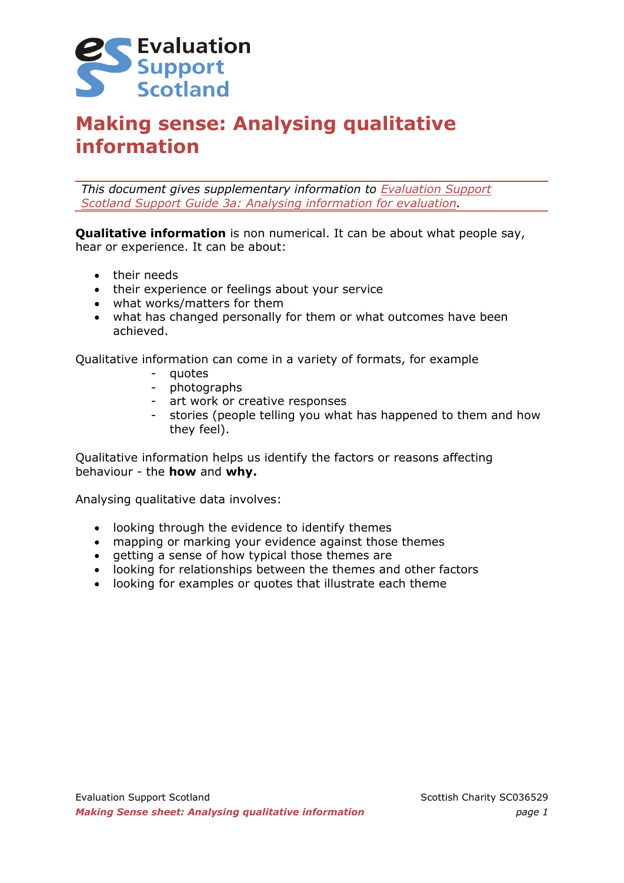

# **Making sense: Analysing qualitative information**

*This document gives supplementary information to [Evaluation Support](http://evaluationsupportscotland.org.uk/resources/133/)  [Scotland Support Guide 3a: Analysing information for evaluation.](http://evaluationsupportscotland.org.uk/resources/133/)*

**Qualitative information** is non numerical. It can be about what people say, hear or experience. It can be about:

- their needs
- their experience or feelings about your service
- what works/matters for them
- what has changed personally for them or what outcomes have been achieved.

Qualitative information can come in a variety of formats, for example

- quotes
- photographs
- art work or creative responses
- stories (people telling you what has happened to them and how they feel).

Qualitative information helps us identify the factors or reasons affecting behaviour - the **how** and **why.**

Analysing qualitative data involves:

- looking through the evidence to identify themes
- mapping or marking your evidence against those themes
- getting a sense of how typical those themes are
- looking for relationships between the themes and other factors
- looking for examples or quotes that illustrate each theme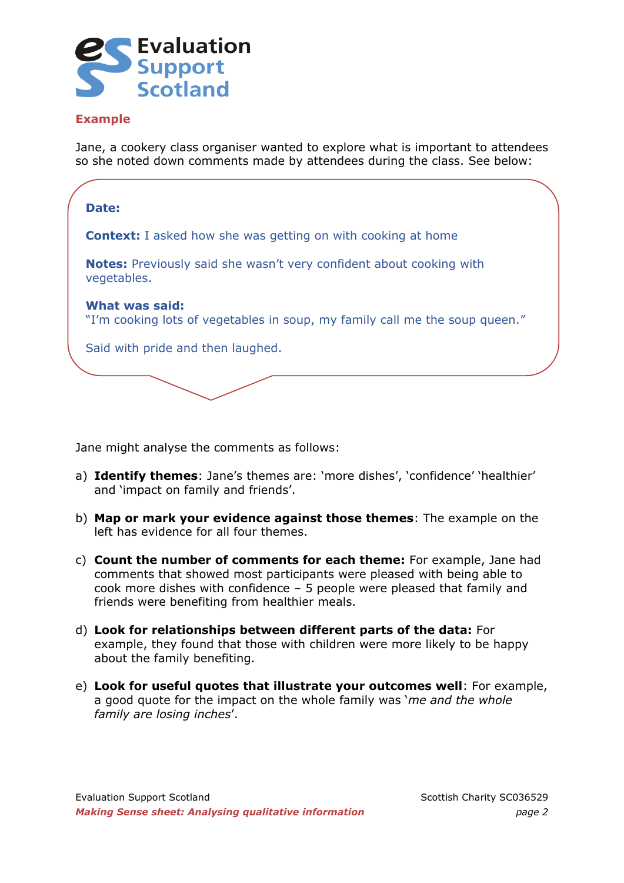

### **Example**

Jane, a cookery class organiser wanted to explore what is important to attendees so she noted down comments made by attendees during the class. See below:



Jane might analyse the comments as follows:

- a) **Identify themes**: Jane's themes are: 'more dishes', 'confidence' 'healthier' and 'impact on family and friends'.
- b) **Map or mark your evidence against those themes**: The example on the left has evidence for all four themes.
- c) **Count the number of comments for each theme:** For example, Jane had comments that showed most participants were pleased with being able to cook more dishes with confidence – 5 people were pleased that family and friends were benefiting from healthier meals.
- d) **Look for relationships between different parts of the data:** For example, they found that those with children were more likely to be happy about the family benefiting.
- e) **Look for useful quotes that illustrate your outcomes well**: For example, a good quote for the impact on the whole family was '*me and the whole family are losing inches*'.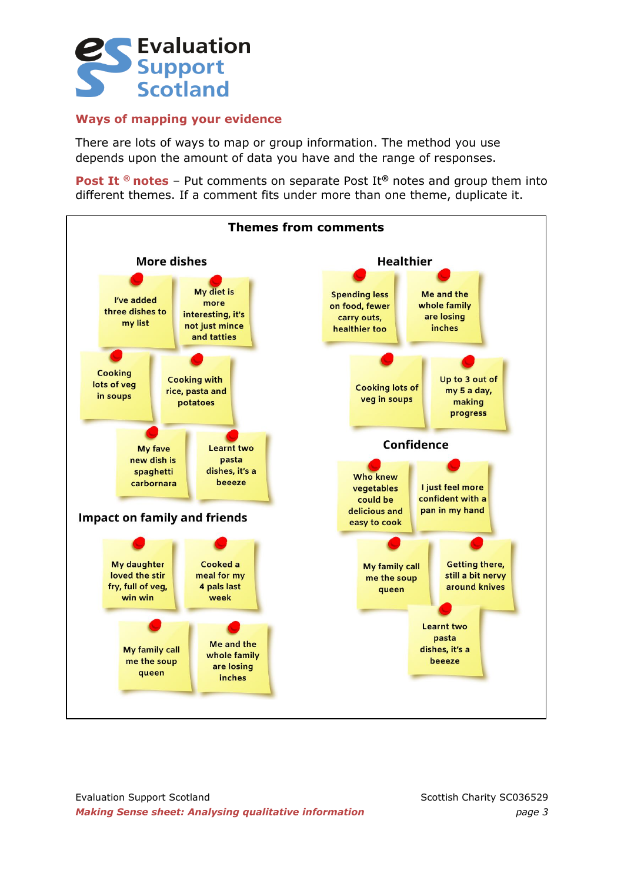

#### **Ways of mapping your evidence**

There are lots of ways to map or group information. The method you use depends upon the amount of data you have and the range of responses.

**Post It ® notes** – Put comments on separate Post It<sup>®</sup> notes and group them into different themes. If a comment fits under more than one theme, duplicate it.

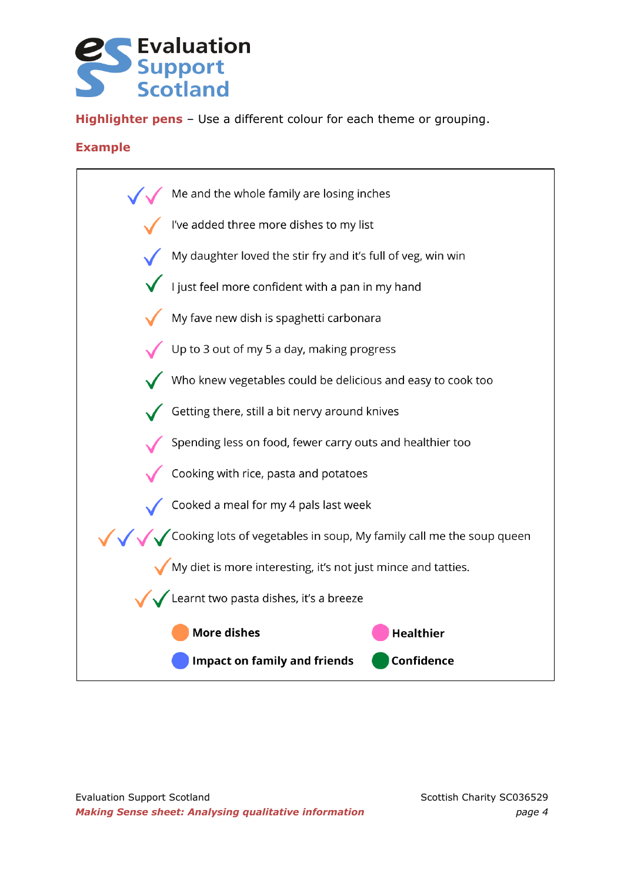## **Evaluation Support Scotland**

**Highlighter pens** – Use a different colour for each theme or grouping.

### **Example**

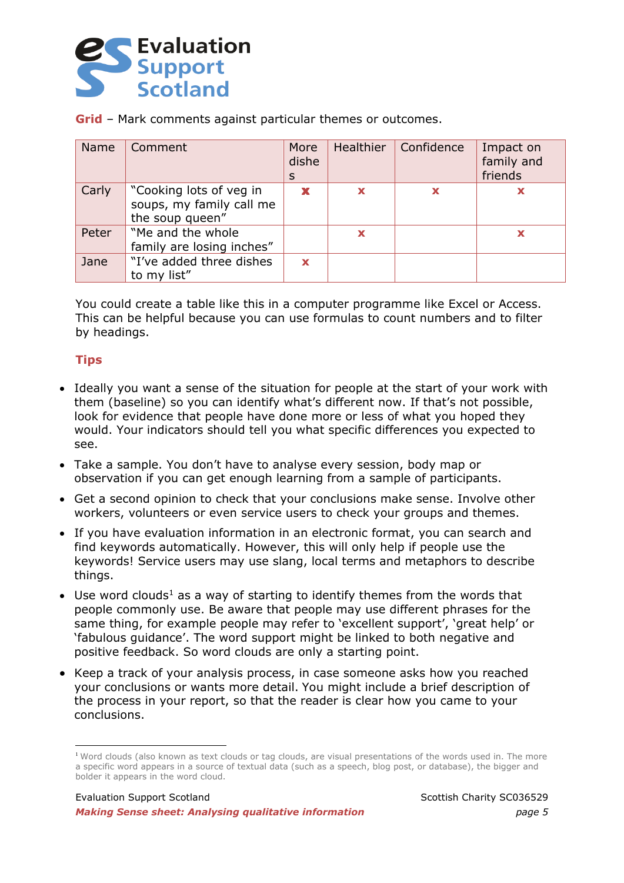

**Grid** – Mark comments against particular themes or outcomes.

| <b>Name</b> | Comment                                                                | More<br>dishe<br>S | Healthier | Confidence | Impact on<br>family and<br>friends |
|-------------|------------------------------------------------------------------------|--------------------|-----------|------------|------------------------------------|
| Carly       | "Cooking lots of yeg in<br>soups, my family call me<br>the soup queen" |                    | x         | X          | X                                  |
| Peter       | "Me and the whole<br>family are losing inches"                         |                    | X         |            | x                                  |
| Jane        | "I've added three dishes<br>to my list"                                | $\mathbf x$        |           |            |                                    |

You could create a table like this in a computer programme like Excel or Access. This can be helpful because you can use formulas to count numbers and to filter by headings.

### **Tips**

- Ideally you want a sense of the situation for people at the start of your work with them (baseline) so you can identify what's different now. If that's not possible, look for evidence that people have done more or less of what you hoped they would. Your indicators should tell you what specific differences you expected to see.
- Take a sample. You don't have to analyse every session, body map or observation if you can get enough learning from a sample of participants.
- Get a second opinion to check that your conclusions make sense. Involve other workers, volunteers or even service users to check your groups and themes.
- If you have evaluation information in an electronic format, you can search and find keywords automatically. However, this will only help if people use the keywords! Service users may use slang, local terms and metaphors to describe things.
- Use word clouds<sup>1</sup> as a way of starting to identify themes from the words that people commonly use. Be aware that people may use different phrases for the same thing, for example people may refer to 'excellent support', 'great help' or 'fabulous guidance'. The word support might be linked to both negative and positive feedback. So word clouds are only a starting point.
- Keep a track of your analysis process, in case someone asks how you reached your conclusions or wants more detail. You might include a brief description of the process in your report, so that the reader is clear how you came to your conclusions.

<sup>1</sup> Word clouds (also known as text clouds or tag clouds, are visual presentations of the words used in. The more a specific word appears in a source of textual data (such as a speech, blog post, or database), the bigger and bolder it appears in the word cloud.